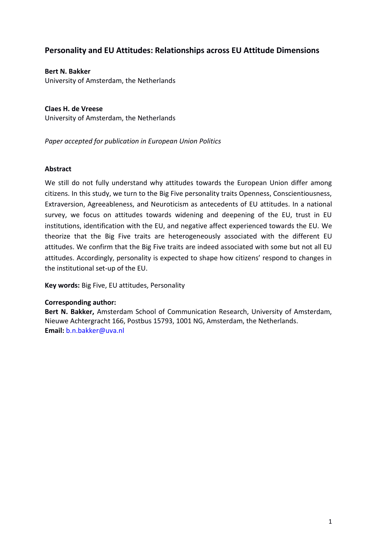# **Personality and EU Attitudes: Relationships across EU Attitude Dimensions**

**Bert N. Bakker** University of Amsterdam, the Netherlands

**Claes H. de Vreese** University of Amsterdam, the Netherlands

*Paper accepted for publication in European Union Politics*

# **Abstract**

We still do not fully understand why attitudes towards the European Union differ among citizens. In this study, we turn to the Big Five personality traits Openness, Conscientiousness, Extraversion, Agreeableness, and Neuroticism as antecedents of EU attitudes. In a national survey, we focus on attitudes towards widening and deepening of the EU, trust in EU institutions, identification with the EU, and negative affect experienced towards the EU. We theorize that the Big Five traits are heterogeneously associated with the different EU attitudes. We confirm that the Big Five traits are indeed associated with some but not all EU attitudes. Accordingly, personality is expected to shape how citizens' respond to changes in the institutional set-up of the EU.

**Key words:** Big Five, EU attitudes, Personality

# **Corresponding author:**

**Bert N. Bakker,** Amsterdam School of Communication Research, University of Amsterdam, Nieuwe Achtergracht 166, Postbus 15793, 1001 NG, Amsterdam, the Netherlands. **Email:** [b.n.bakker@uva.nl](mailto:b.n.bakker@uva.nl)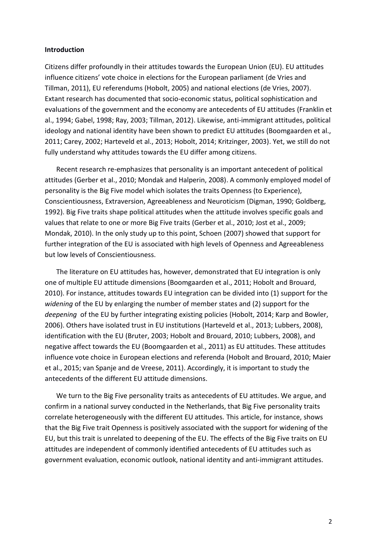#### **Introduction**

Citizens differ profoundly in their attitudes towards the European Union (EU). EU attitudes influence citizens' vote choice in elections for the European parliament (de Vries and Tillman, 2011), EU referendums (Hobolt, 2005) and national elections (de Vries, 2007). Extant research has documented that socio-economic status, political sophistication and evaluations of the government and the economy are antecedents of EU attitudes (Franklin et al., 1994; Gabel, 1998; Ray, 2003; Tillman, 2012). Likewise, anti-immigrant attitudes, political ideology and national identity have been shown to predict EU attitudes (Boomgaarden et al., 2011; Carey, 2002; Harteveld et al., 2013; Hobolt, 2014; Kritzinger, 2003). Yet, we still do not fully understand why attitudes towards the EU differ among citizens.

Recent research re-emphasizes that personality is an important antecedent of political attitudes (Gerber et al., 2010; Mondak and Halperin, 2008). A commonly employed model of personality is the Big Five model which isolates the traits Openness (to Experience), Conscientiousness, Extraversion, Agreeableness and Neuroticism (Digman, 1990; Goldberg, 1992). Big Five traits shape political attitudes when the attitude involves specific goals and values that relate to one or more Big Five traits (Gerber et al., 2010; Jost et al., 2009; Mondak, 2010). In the only study up to this point, Schoen (2007) showed that support for further integration of the EU is associated with high levels of Openness and Agreeableness but low levels of Conscientiousness.

The literature on EU attitudes has, however, demonstrated that EU integration is only one of multiple EU attitude dimensions (Boomgaarden et al., 2011; Hobolt and Brouard, 2010). For instance, attitudes towards EU integration can be divided into (1) support for the *widening* of the EU by enlarging the number of member states and (2) support for the *deepening* of the EU by further integrating existing policies (Hobolt, 2014; Karp and Bowler, 2006). Others have isolated trust in EU institutions (Harteveld et al., 2013; Lubbers, 2008), identification with the EU (Bruter, 2003; Hobolt and Brouard, 2010; Lubbers, 2008), and negative affect towards the EU (Boomgaarden et al., 2011) as EU attitudes. These attitudes influence vote choice in European elections and referenda (Hobolt and Brouard, 2010; Maier et al., 2015; van Spanje and de Vreese, 2011). Accordingly, it is important to study the antecedents of the different EU attitude dimensions.

We turn to the Big Five personality traits as antecedents of EU attitudes. We argue, and confirm in a national survey conducted in the Netherlands, that Big Five personality traits correlate heterogeneously with the different EU attitudes. This article, for instance, shows that the Big Five trait Openness is positively associated with the support for widening of the EU, but this trait is unrelated to deepening of the EU. The effects of the Big Five traits on EU attitudes are independent of commonly identified antecedents of EU attitudes such as government evaluation, economic outlook, national identity and anti-immigrant attitudes.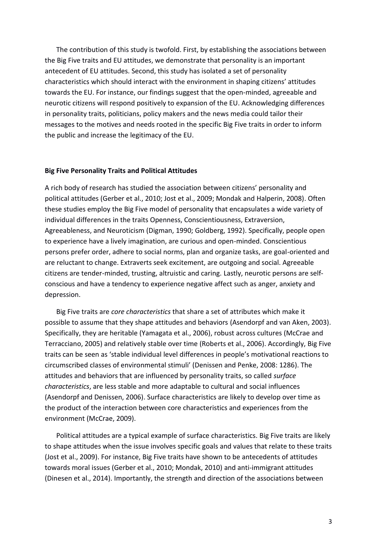The contribution of this study is twofold. First, by establishing the associations between the Big Five traits and EU attitudes, we demonstrate that personality is an important antecedent of EU attitudes. Second, this study has isolated a set of personality characteristics which should interact with the environment in shaping citizens' attitudes towards the EU. For instance, our findings suggest that the open-minded, agreeable and neurotic citizens will respond positively to expansion of the EU. Acknowledging differences in personality traits, politicians, policy makers and the news media could tailor their messages to the motives and needs rooted in the specific Big Five traits in order to inform the public and increase the legitimacy of the EU.

#### **Big Five Personality Traits and Political Attitudes**

A rich body of research has studied the association between citizens' personality and political attitudes (Gerber et al., 2010; Jost et al., 2009; Mondak and Halperin, 2008). Often these studies employ the Big Five model of personality that encapsulates a wide variety of individual differences in the traits Openness, Conscientiousness, Extraversion, Agreeableness, and Neuroticism (Digman, 1990; Goldberg, 1992). Specifically, people open to experience have a lively imagination, are curious and open-minded. Conscientious persons prefer order, adhere to social norms, plan and organize tasks, are goal-oriented and are reluctant to change. Extraverts seek excitement, are outgoing and social. Agreeable citizens are tender-minded, trusting, altruistic and caring. Lastly, neurotic persons are selfconscious and have a tendency to experience negative affect such as anger, anxiety and depression.

Big Five traits are *core characteristics* that share a set of attributes which make it possible to assume that they shape attitudes and behaviors (Asendorpf and van Aken, 2003). Specifically, they are heritable (Yamagata et al., 2006), robust across cultures (McCrae and Terracciano, 2005) and relatively stable over time (Roberts et al., 2006). Accordingly, Big Five traits can be seen as 'stable individual level differences in people's motivational reactions to circumscribed classes of environmental stimuli' (Denissen and Penke, 2008: 1286). The attitudes and behaviors that are influenced by personality traits, so called *surface characteristics*, are less stable and more adaptable to cultural and social influences (Asendorpf and Denissen, 2006). Surface characteristics are likely to develop over time as the product of the interaction between core characteristics and experiences from the environment (McCrae, 2009).

Political attitudes are a typical example of surface characteristics. Big Five traits are likely to shape attitudes when the issue involves specific goals and values that relate to these traits (Jost et al., 2009). For instance, Big Five traits have shown to be antecedents of attitudes towards moral issues (Gerber et al., 2010; Mondak, 2010) and anti-immigrant attitudes (Dinesen et al., 2014). Importantly, the strength and direction of the associations between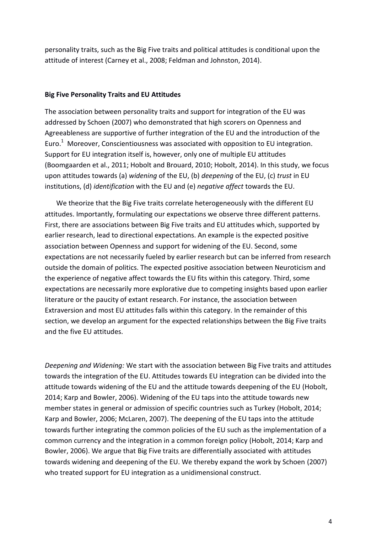personality traits, such as the Big Five traits and political attitudes is conditional upon the attitude of interest (Carney et al., 2008; Feldman and Johnston, 2014).

# **Big Five Personality Traits and EU Attitudes**

The association between personality traits and support for integration of the EU was addressed by Schoen (2007) who demonstrated that high scorers on Openness and Agreeableness are supportive of further integration of the EU and the introduction of the Euro.<sup>1</sup> Moreover, Conscientiousness was associated with opposition to EU integration. Support for EU integration itself is, however, only one of multiple EU attitudes (Boomgaarden et al., 2011; Hobolt and Brouard, 2010; Hobolt, 2014). In this study, we focus upon attitudes towards (a) *widening* of the EU, (b) *deepening* of the EU, (c) *trust* in EU institutions, (d) *identification* with the EU and (e) *negative affect* towards the EU.

We theorize that the Big Five traits correlate heterogeneously with the different EU attitudes. Importantly, formulating our expectations we observe three different patterns. First, there are associations between Big Five traits and EU attitudes which, supported by earlier research, lead to directional expectations. An example is the expected positive association between Openness and support for widening of the EU. Second, some expectations are not necessarily fueled by earlier research but can be inferred from research outside the domain of politics. The expected positive association between Neuroticism and the experience of negative affect towards the EU fits within this category. Third, some expectations are necessarily more explorative due to competing insights based upon earlier literature or the paucity of extant research. For instance, the association between Extraversion and most EU attitudes falls within this category. In the remainder of this section, we develop an argument for the expected relationships between the Big Five traits and the five EU attitudes.

*Deepening and Widening:* We start with the association between Big Five traits and attitudes towards the integration of the EU. Attitudes towards EU integration can be divided into the attitude towards widening of the EU and the attitude towards deepening of the EU (Hobolt, 2014; Karp and Bowler, 2006). Widening of the EU taps into the attitude towards new member states in general or admission of specific countries such as Turkey (Hobolt, 2014; Karp and Bowler, 2006; McLaren, 2007). The deepening of the EU taps into the attitude towards further integrating the common policies of the EU such as the implementation of a common currency and the integration in a common foreign policy (Hobolt, 2014; Karp and Bowler, 2006). We argue that Big Five traits are differentially associated with attitudes towards widening and deepening of the EU. We thereby expand the work by Schoen (2007) who treated support for EU integration as a unidimensional construct.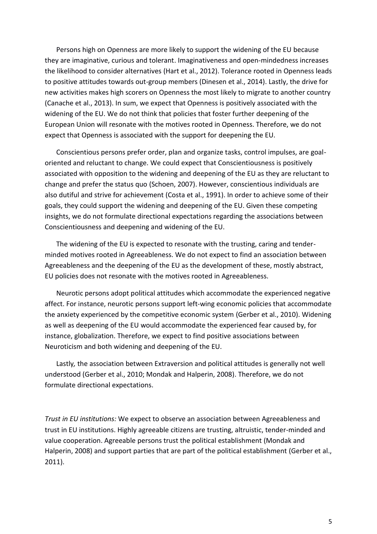Persons high on Openness are more likely to support the widening of the EU because they are imaginative, curious and tolerant. Imaginativeness and open-mindedness increases the likelihood to consider alternatives (Hart et al., 2012). Tolerance rooted in Openness leads to positive attitudes towards out-group members (Dinesen et al., 2014). Lastly, the drive for new activities makes high scorers on Openness the most likely to migrate to another country (Canache et al., 2013). In sum, we expect that Openness is positively associated with the widening of the EU. We do not think that policies that foster further deepening of the European Union will resonate with the motives rooted in Openness. Therefore, we do not expect that Openness is associated with the support for deepening the EU.

Conscientious persons prefer order, plan and organize tasks, control impulses, are goaloriented and reluctant to change. We could expect that Conscientiousness is positively associated with opposition to the widening and deepening of the EU as they are reluctant to change and prefer the status quo (Schoen, 2007). However, conscientious individuals are also dutiful and strive for achievement (Costa et al., 1991). In order to achieve some of their goals, they could support the widening and deepening of the EU. Given these competing insights, we do not formulate directional expectations regarding the associations between Conscientiousness and deepening and widening of the EU.

The widening of the EU is expected to resonate with the trusting, caring and tenderminded motives rooted in Agreeableness. We do not expect to find an association between Agreeableness and the deepening of the EU as the development of these, mostly abstract, EU policies does not resonate with the motives rooted in Agreeableness.

Neurotic persons adopt political attitudes which accommodate the experienced negative affect. For instance, neurotic persons support left-wing economic policies that accommodate the anxiety experienced by the competitive economic system (Gerber et al., 2010). Widening as well as deepening of the EU would accommodate the experienced fear caused by, for instance, globalization. Therefore, we expect to find positive associations between Neuroticism and both widening and deepening of the EU.

Lastly*,* the association between Extraversion and political attitudes is generally not well understood (Gerber et al., 2010; Mondak and Halperin, 2008). Therefore, we do not formulate directional expectations.

*Trust in EU institutions:* We expect to observe an association between Agreeableness and trust in EU institutions. Highly agreeable citizens are trusting, altruistic, tender-minded and value cooperation. Agreeable persons trust the political establishment (Mondak and Halperin, 2008) and support parties that are part of the political establishment (Gerber et al., 2011).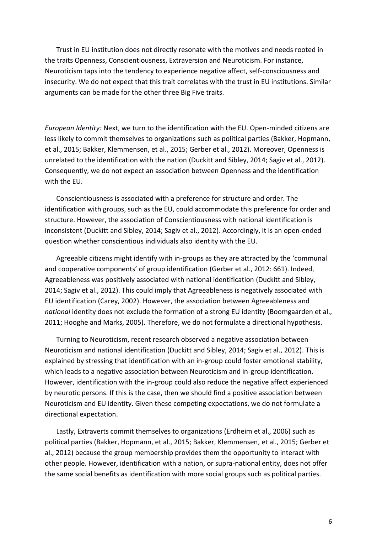Trust in EU institution does not directly resonate with the motives and needs rooted in the traits Openness, Conscientiousness, Extraversion and Neuroticism. For instance, Neuroticism taps into the tendency to experience negative affect, self-consciousness and insecurity. We do not expect that this trait correlates with the trust in EU institutions. Similar arguments can be made for the other three Big Five traits.

*European Identity:* Next, we turn to the identification with the EU. Open-minded citizens are less likely to commit themselves to organizations such as political parties (Bakker, Hopmann, et al., 2015; Bakker, Klemmensen, et al., 2015; Gerber et al., 2012). Moreover, Openness is unrelated to the identification with the nation (Duckitt and Sibley, 2014; Sagiv et al., 2012). Consequently, we do not expect an association between Openness and the identification with the EU.

Conscientiousness is associated with a preference for structure and order. The identification with groups, such as the EU, could accommodate this preference for order and structure. However, the association of Conscientiousness with national identification is inconsistent (Duckitt and Sibley, 2014; Sagiv et al., 2012). Accordingly, it is an open-ended question whether conscientious individuals also identity with the EU.

Agreeable citizens might identify with in-groups as they are attracted by the 'communal and cooperative components' of group identification (Gerber et al., 2012: 661). Indeed, Agreeableness was positively associated with national identification (Duckitt and Sibley, 2014; Sagiv et al., 2012). This could imply that Agreeableness is negatively associated with EU identification (Carey, 2002). However, the association between Agreeableness and *national* identity does not exclude the formation of a strong EU identity (Boomgaarden et al., 2011; Hooghe and Marks, 2005). Therefore, we do not formulate a directional hypothesis.

Turning to Neuroticism, recent research observed a negative association between Neuroticism and national identification (Duckitt and Sibley, 2014; Sagiv et al., 2012). This is explained by stressing that identification with an in-group could foster emotional stability, which leads to a negative association between Neuroticism and in-group identification. However, identification with the in-group could also reduce the negative affect experienced by neurotic persons. If this is the case, then we should find a positive association between Neuroticism and EU identity. Given these competing expectations, we do not formulate a directional expectation.

Lastly, Extraverts commit themselves to organizations (Erdheim et al., 2006) such as political parties (Bakker, Hopmann, et al., 2015; Bakker, Klemmensen, et al., 2015; Gerber et al., 2012) because the group membership provides them the opportunity to interact with other people. However, identification with a nation, or supra-national entity, does not offer the same social benefits as identification with more social groups such as political parties.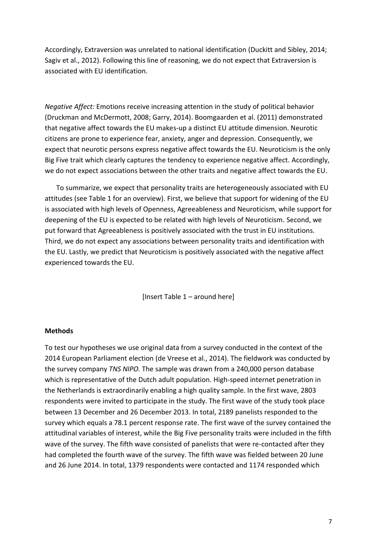Accordingly, Extraversion was unrelated to national identification (Duckitt and Sibley, 2014; Sagiv et al., 2012). Following this line of reasoning, we do not expect that Extraversion is associated with EU identification.

*Negative Affect:* Emotions receive increasing attention in the study of political behavior (Druckman and McDermott, 2008; Garry, 2014). Boomgaarden et al. (2011) demonstrated that negative affect towards the EU makes-up a distinct EU attitude dimension. Neurotic citizens are prone to experience fear, anxiety, anger and depression. Consequently, we expect that neurotic persons express negative affect towards the EU. Neuroticism is the only Big Five trait which clearly captures the tendency to experience negative affect. Accordingly, we do not expect associations between the other traits and negative affect towards the EU.

To summarize, we expect that personality traits are heterogeneously associated with EU attitudes (see Table 1 for an overview). First, we believe that support for widening of the EU is associated with high levels of Openness, Agreeableness and Neuroticism, while support for deepening of the EU is expected to be related with high levels of Neuroticism. Second, we put forward that Agreeableness is positively associated with the trust in EU institutions. Third, we do not expect any associations between personality traits and identification with the EU. Lastly, we predict that Neuroticism is positively associated with the negative affect experienced towards the EU.

[Insert Table 1 – around here]

#### **Methods**

To test our hypotheses we use original data from a survey conducted in the context of the 2014 European Parliament election (de Vreese et al., 2014). The fieldwork was conducted by the survey company *TNS NIPO.* The sample was drawn from a 240,000 person database which is representative of the Dutch adult population. High-speed internet penetration in the Netherlands is extraordinarily enabling a high quality sample. In the first wave, 2803 respondents were invited to participate in the study. The first wave of the study took place between 13 December and 26 December 2013. In total, 2189 panelists responded to the survey which equals a 78.1 percent response rate. The first wave of the survey contained the attitudinal variables of interest, while the Big Five personality traits were included in the fifth wave of the survey. The fifth wave consisted of panelists that were re-contacted after they had completed the fourth wave of the survey. The fifth wave was fielded between 20 June and 26 June 2014. In total, 1379 respondents were contacted and 1174 responded which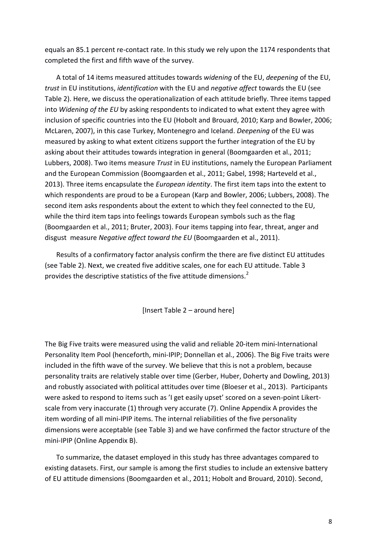equals an 85.1 percent re-contact rate. In this study we rely upon the 1174 respondents that completed the first and fifth wave of the survey.

A total of 14 items measured attitudes towards *widening* of the EU, *deepening* of the EU, *trust* in EU institutions, *identification* with the EU and *negative affect* towards the EU (see Table 2). Here, we discuss the operationalization of each attitude briefly. Three items tapped into *Widening of the EU* by asking respondents to indicated to what extent they agree with inclusion of specific countries into the EU (Hobolt and Brouard, 2010; Karp and Bowler, 2006; McLaren, 2007), in this case Turkey, Montenegro and Iceland. *Deepening* of the EU was measured by asking to what extent citizens support the further integration of the EU by asking about their attitudes towards integration in general (Boomgaarden et al., 2011; Lubbers, 2008). Two items measure *Trust* in EU institutions, namely the European Parliament and the European Commission (Boomgaarden et al., 2011; Gabel, 1998; Harteveld et al., 2013). Three items encapsulate the *European identity*. The first item taps into the extent to which respondents are proud to be a European (Karp and Bowler, 2006; Lubbers, 2008). The second item asks respondents about the extent to which they feel connected to the EU, while the third item taps into feelings towards European symbols such as the flag (Boomgaarden et al., 2011; Bruter, 2003). Four items tapping into fear, threat, anger and disgust measure *Negative affect toward the EU* (Boomgaarden et al., 2011).

Results of a confirmatory factor analysis confirm the there are five distinct EU attitudes (see Table 2). Next, we created five additive scales, one for each EU attitude. Table 3 provides the descriptive statistics of the five attitude dimensions.<sup>2</sup>

[Insert Table 2 – around here]

The Big Five traits were measured using the valid and reliable 20-item mini-International Personality Item Pool (henceforth, mini-IPIP; Donnellan et al., 2006). The Big Five traits were included in the fifth wave of the survey. We believe that this is not a problem, because personality traits are relatively stable over time (Gerber, Huber, Doherty and Dowling, 2013) and robustly associated with political attitudes over time (Bloeser et al., 2013). Participants were asked to respond to items such as 'I get easily upset' scored on a seven-point Likertscale from very inaccurate (1) through very accurate (7). Online Appendix A provides the item wording of all mini-IPIP items. The internal reliabilities of the five personality dimensions were acceptable (see Table 3) and we have confirmed the factor structure of the mini-IPIP (Online Appendix B).

To summarize, the dataset employed in this study has three advantages compared to existing datasets. First, our sample is among the first studies to include an extensive battery of EU attitude dimensions (Boomgaarden et al., 2011; Hobolt and Brouard, 2010). Second,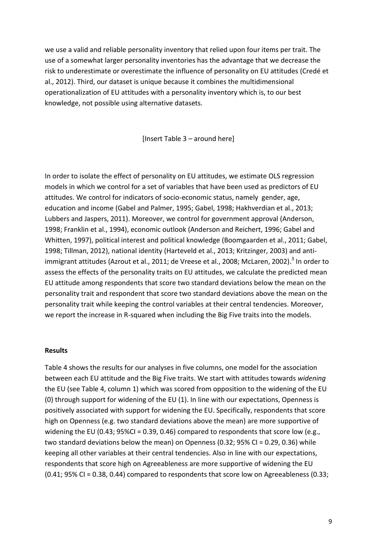we use a valid and reliable personality inventory that relied upon four items per trait. The use of a somewhat larger personality inventories has the advantage that we decrease the risk to underestimate or overestimate the influence of personality on EU attitudes (Credé et al., 2012). Third, our dataset is unique because it combines the multidimensional operationalization of EU attitudes with a personality inventory which is, to our best knowledge, not possible using alternative datasets.

[Insert Table 3 – around here]

In order to isolate the effect of personality on EU attitudes, we estimate OLS regression models in which we control for a set of variables that have been used as predictors of EU attitudes. We control for indicators of socio-economic status, namely gender, age, education and income (Gabel and Palmer, 1995; Gabel, 1998; Hakhverdian et al., 2013; Lubbers and Jaspers, 2011). Moreover, we control for government approval (Anderson, 1998; Franklin et al., 1994), economic outlook (Anderson and Reichert, 1996; Gabel and Whitten, 1997), political interest and political knowledge (Boomgaarden et al., 2011; Gabel, 1998; Tillman, 2012), national identity (Harteveld et al., 2013; Kritzinger, 2003) and antiimmigrant attitudes (Azrout et al., 2011; de Vreese et al., 2008; McLaren, 2002).<sup>3</sup> In order to assess the effects of the personality traits on EU attitudes, we calculate the predicted mean EU attitude among respondents that score two standard deviations below the mean on the personality trait and respondent that score two standard deviations above the mean on the personality trait while keeping the control variables at their central tendencies. Moreover, we report the increase in R-squared when including the Big Five traits into the models.

#### **Results**

Table 4 shows the results for our analyses in five columns, one model for the association between each EU attitude and the Big Five traits. We start with attitudes towards *widening* the EU (see Table 4, column 1) which was scored from opposition to the widening of the EU (0) through support for widening of the EU (1). In line with our expectations, Openness is positively associated with support for widening the EU. Specifically, respondents that score high on Openness (e.g. two standard deviations above the mean) are more supportive of widening the EU (0.43;  $95\%$ CI = 0.39, 0.46) compared to respondents that score low (e.g., two standard deviations below the mean) on Openness (0.32; 95% CI = 0.29, 0.36) while keeping all other variables at their central tendencies. Also in line with our expectations, respondents that score high on Agreeableness are more supportive of widening the EU (0.41; 95% CI = 0.38, 0.44) compared to respondents that score low on Agreeableness (0.33;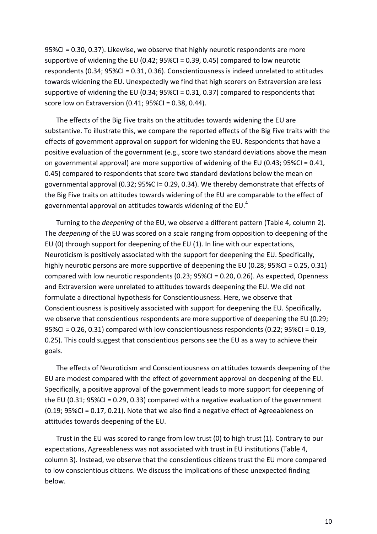95%CI = 0.30, 0.37). Likewise, we observe that highly neurotic respondents are more supportive of widening the EU (0.42; 95%CI = 0.39, 0.45) compared to low neurotic respondents (0.34; 95%CI = 0.31, 0.36). Conscientiousness is indeed unrelated to attitudes towards widening the EU. Unexpectedly we find that high scorers on Extraversion are less supportive of widening the EU (0.34; 95%CI = 0.31, 0.37) compared to respondents that score low on Extraversion (0.41; 95%CI = 0.38, 0.44).

The effects of the Big Five traits on the attitudes towards widening the EU are substantive. To illustrate this, we compare the reported effects of the Big Five traits with the effects of government approval on support for widening the EU. Respondents that have a positive evaluation of the government (e.g., score two standard deviations above the mean on governmental approval) are more supportive of widening of the EU (0.43; 95%CI = 0.41, 0.45) compared to respondents that score two standard deviations below the mean on governmental approval (0.32; 95%C I= 0.29, 0.34). We thereby demonstrate that effects of the Big Five traits on attitudes towards widening of the EU are comparable to the effect of governmental approval on attitudes towards widening of the EU. $<sup>4</sup>$ </sup>

Turning to the *deepening* of the EU, we observe a different pattern (Table 4, column 2). The *deepening* of the EU was scored on a scale ranging from opposition to deepening of the EU (0) through support for deepening of the EU (1). In line with our expectations, Neuroticism is positively associated with the support for deepening the EU. Specifically, highly neurotic persons are more supportive of deepening the EU (0.28; 95%CI = 0.25, 0.31) compared with low neurotic respondents (0.23; 95%CI = 0.20, 0.26). As expected, Openness and Extraversion were unrelated to attitudes towards deepening the EU. We did not formulate a directional hypothesis for Conscientiousness. Here, we observe that Conscientiousness is positively associated with support for deepening the EU. Specifically, we observe that conscientious respondents are more supportive of deepening the EU (0.29; 95%CI = 0.26, 0.31) compared with low conscientiousness respondents (0.22; 95%CI = 0.19, 0.25). This could suggest that conscientious persons see the EU as a way to achieve their goals.

The effects of Neuroticism and Conscientiousness on attitudes towards deepening of the EU are modest compared with the effect of government approval on deepening of the EU. Specifically, a positive approval of the government leads to more support for deepening of the EU (0.31; 95%CI = 0.29, 0.33) compared with a negative evaluation of the government (0.19; 95%CI = 0.17, 0.21). Note that we also find a negative effect of Agreeableness on attitudes towards deepening of the EU.

Trust in the EU was scored to range from low trust (0) to high trust (1). Contrary to our expectations, Agreeableness was not associated with trust in EU institutions (Table 4, column 3). Instead, we observe that the conscientious citizens trust the EU more compared to low conscientious citizens. We discuss the implications of these unexpected finding below.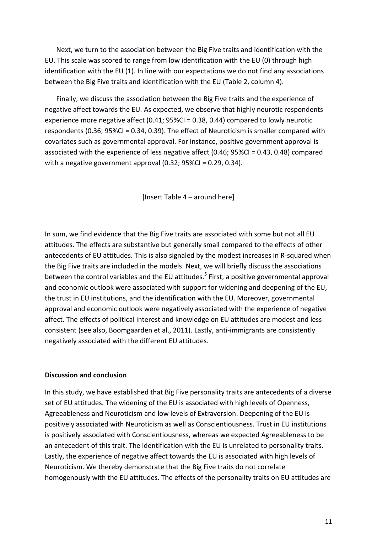Next, we turn to the association between the Big Five traits and identification with the EU. This scale was scored to range from low identification with the EU (0) through high identification with the EU (1). In line with our expectations we do not find any associations between the Big Five traits and identification with the EU (Table 2, column 4).

Finally, we discuss the association between the Big Five traits and the experience of negative affect towards the EU. As expected, we observe that highly neurotic respondents experience more negative affect (0.41; 95%CI = 0.38, 0.44) compared to lowly neurotic respondents (0.36; 95%CI = 0.34, 0.39). The effect of Neuroticism is smaller compared with covariates such as governmental approval. For instance, positive government approval is associated with the experience of less negative affect (0.46; 95%CI = 0.43, 0.48) compared with a negative government approval  $(0.32; 95\%$ CI = 0.29, 0.34).

[Insert Table 4 – around here]

In sum, we find evidence that the Big Five traits are associated with some but not all EU attitudes. The effects are substantive but generally small compared to the effects of other antecedents of EU attitudes. This is also signaled by the modest increases in R-squared when the Big Five traits are included in the models. Next, we will briefly discuss the associations between the control variables and the EU attitudes.<sup>5</sup> First, a positive governmental approval and economic outlook were associated with support for widening and deepening of the EU, the trust in EU institutions, and the identification with the EU. Moreover, governmental approval and economic outlook were negatively associated with the experience of negative affect. The effects of political interest and knowledge on EU attitudes are modest and less consistent (see also, Boomgaarden et al., 2011). Lastly, anti-immigrants are consistently negatively associated with the different EU attitudes.

#### **Discussion and conclusion**

In this study, we have established that Big Five personality traits are antecedents of a diverse set of EU attitudes. The widening of the EU is associated with high levels of Openness, Agreeableness and Neuroticism and low levels of Extraversion. Deepening of the EU is positively associated with Neuroticism as well as Conscientiousness. Trust in EU institutions is positively associated with Conscientiousness, whereas we expected Agreeableness to be an antecedent of this trait. The identification with the EU is unrelated to personality traits. Lastly, the experience of negative affect towards the EU is associated with high levels of Neuroticism. We thereby demonstrate that the Big Five traits do not correlate homogenously with the EU attitudes. The effects of the personality traits on EU attitudes are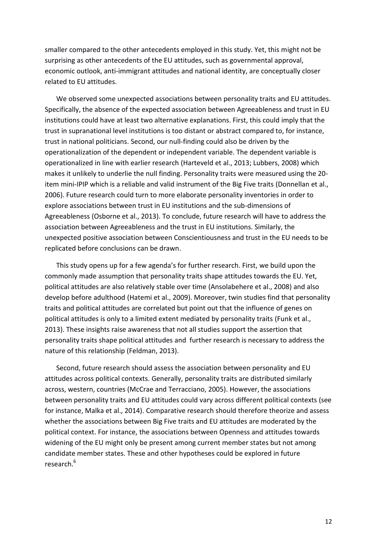smaller compared to the other antecedents employed in this study. Yet, this might not be surprising as other antecedents of the EU attitudes, such as governmental approval, economic outlook, anti-immigrant attitudes and national identity, are conceptually closer related to EU attitudes.

We observed some unexpected associations between personality traits and EU attitudes. Specifically, the absence of the expected association between Agreeableness and trust in EU institutions could have at least two alternative explanations. First, this could imply that the trust in supranational level institutions is too distant or abstract compared to, for instance, trust in national politicians. Second, our null-finding could also be driven by the operationalization of the dependent or independent variable. The dependent variable is operationalized in line with earlier research (Harteveld et al., 2013; Lubbers, 2008) which makes it unlikely to underlie the null finding. Personality traits were measured using the 20 item mini-IPIP which is a reliable and valid instrument of the Big Five traits (Donnellan et al., 2006). Future research could turn to more elaborate personality inventories in order to explore associations between trust in EU institutions and the sub-dimensions of Agreeableness (Osborne et al., 2013). To conclude, future research will have to address the association between Agreeableness and the trust in EU institutions. Similarly, the unexpected positive association between Conscientiousness and trust in the EU needs to be replicated before conclusions can be drawn.

This study opens up for a few agenda's for further research. First, we build upon the commonly made assumption that personality traits shape attitudes towards the EU. Yet, political attitudes are also relatively stable over time (Ansolabehere et al., 2008) and also develop before adulthood (Hatemi et al., 2009). Moreover, twin studies find that personality traits and political attitudes are correlated but point out that the influence of genes on political attitudes is only to a limited extent mediated by personality traits (Funk et al., 2013). These insights raise awareness that not all studies support the assertion that personality traits shape political attitudes and further research is necessary to address the nature of this relationship (Feldman, 2013).

Second, future research should assess the association between personality and EU attitudes across political contexts. Generally, personality traits are distributed similarly across, western, countries (McCrae and Terracciano, 2005). However, the associations between personality traits and EU attitudes could vary across different political contexts (see for instance, Malka et al., 2014). Comparative research should therefore theorize and assess whether the associations between Big Five traits and EU attitudes are moderated by the political context. For instance, the associations between Openness and attitudes towards widening of the EU might only be present among current member states but not among candidate member states. These and other hypotheses could be explored in future research.<sup>6</sup>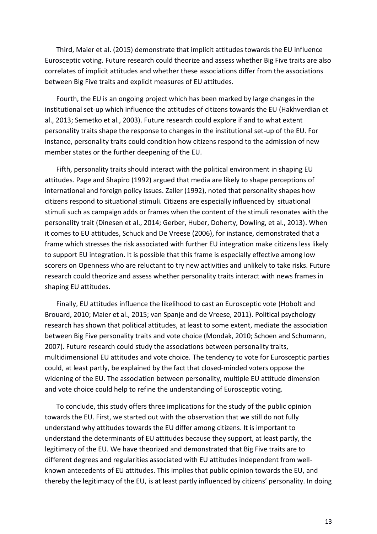Third, Maier et al. (2015) demonstrate that implicit attitudes towards the EU influence Eurosceptic voting. Future research could theorize and assess whether Big Five traits are also correlates of implicit attitudes and whether these associations differ from the associations between Big Five traits and explicit measures of EU attitudes.

Fourth, the EU is an ongoing project which has been marked by large changes in the institutional set-up which influence the attitudes of citizens towards the EU (Hakhverdian et al., 2013; Semetko et al., 2003). Future research could explore if and to what extent personality traits shape the response to changes in the institutional set-up of the EU. For instance, personality traits could condition how citizens respond to the admission of new member states or the further deepening of the EU.

Fifth, personality traits should interact with the political environment in shaping EU attitudes. Page and Shapiro (1992) argued that media are likely to shape perceptions of international and foreign policy issues. Zaller (1992), noted that personality shapes how citizens respond to situational stimuli. Citizens are especially influenced by situational stimuli such as campaign adds or frames when the content of the stimuli resonates with the personality trait (Dinesen et al., 2014; Gerber, Huber, Doherty, Dowling, et al., 2013). When it comes to EU attitudes, Schuck and De Vreese (2006), for instance, demonstrated that a frame which stresses the risk associated with further EU integration make citizens less likely to support EU integration. It is possible that this frame is especially effective among low scorers on Openness who are reluctant to try new activities and unlikely to take risks. Future research could theorize and assess whether personality traits interact with news frames in shaping EU attitudes.

Finally, EU attitudes influence the likelihood to cast an Eurosceptic vote (Hobolt and Brouard, 2010; Maier et al., 2015; van Spanje and de Vreese, 2011). Political psychology research has shown that political attitudes, at least to some extent, mediate the association between Big Five personality traits and vote choice (Mondak, 2010; Schoen and Schumann, 2007). Future research could study the associations between personality traits, multidimensional EU attitudes and vote choice. The tendency to vote for Eurosceptic parties could, at least partly, be explained by the fact that closed-minded voters oppose the widening of the EU. The association between personality, multiple EU attitude dimension and vote choice could help to refine the understanding of Eurosceptic voting.

To conclude, this study offers three implications for the study of the public opinion towards the EU. First, we started out with the observation that we still do not fully understand why attitudes towards the EU differ among citizens. It is important to understand the determinants of EU attitudes because they support, at least partly, the legitimacy of the EU. We have theorized and demonstrated that Big Five traits are to different degrees and regularities associated with EU attitudes independent from wellknown antecedents of EU attitudes. This implies that public opinion towards the EU, and thereby the legitimacy of the EU, is at least partly influenced by citizens' personality. In doing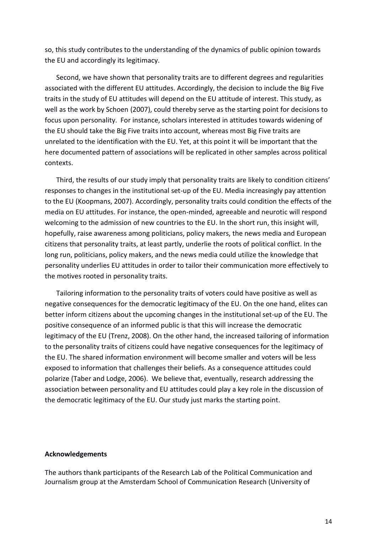so, this study contributes to the understanding of the dynamics of public opinion towards the EU and accordingly its legitimacy.

Second, we have shown that personality traits are to different degrees and regularities associated with the different EU attitudes. Accordingly, the decision to include the Big Five traits in the study of EU attitudes will depend on the EU attitude of interest. This study, as well as the work by Schoen (2007), could thereby serve as the starting point for decisions to focus upon personality. For instance, scholars interested in attitudes towards widening of the EU should take the Big Five traits into account, whereas most Big Five traits are unrelated to the identification with the EU. Yet, at this point it will be important that the here documented pattern of associations will be replicated in other samples across political contexts.

Third, the results of our study imply that personality traits are likely to condition citizens' responses to changes in the institutional set-up of the EU. Media increasingly pay attention to the EU (Koopmans, 2007). Accordingly, personality traits could condition the effects of the media on EU attitudes. For instance, the open-minded, agreeable and neurotic will respond welcoming to the admission of new countries to the EU. In the short run, this insight will, hopefully, raise awareness among politicians, policy makers, the news media and European citizens that personality traits, at least partly, underlie the roots of political conflict. In the long run, politicians, policy makers, and the news media could utilize the knowledge that personality underlies EU attitudes in order to tailor their communication more effectively to the motives rooted in personality traits.

Tailoring information to the personality traits of voters could have positive as well as negative consequences for the democratic legitimacy of the EU. On the one hand, elites can better inform citizens about the upcoming changes in the institutional set-up of the EU. The positive consequence of an informed public is that this will increase the democratic legitimacy of the EU (Trenz, 2008). On the other hand, the increased tailoring of information to the personality traits of citizens could have negative consequences for the legitimacy of the EU. The shared information environment will become smaller and voters will be less exposed to information that challenges their beliefs. As a consequence attitudes could polarize (Taber and Lodge, 2006). We believe that, eventually, research addressing the association between personality and EU attitudes could play a key role in the discussion of the democratic legitimacy of the EU. Our study just marks the starting point.

# **Acknowledgements**

The authors thank participants of the Research Lab of the Political Communication and Journalism group at the Amsterdam School of Communication Research (University of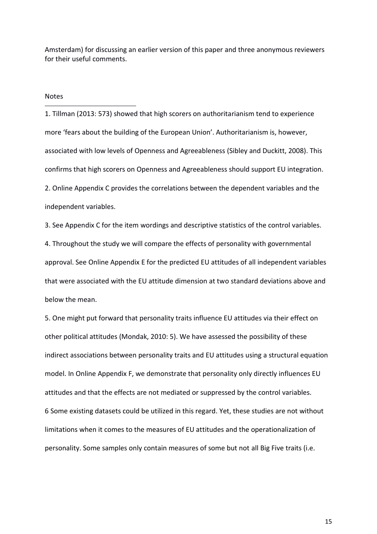Amsterdam) for discussing an earlier version of this paper and three anonymous reviewers for their useful comments.

**Notes** 

-

1. Tillman (2013: 573) showed that high scorers on authoritarianism tend to experience more 'fears about the building of the European Union'. Authoritarianism is, however, associated with low levels of Openness and Agreeableness (Sibley and Duckitt, 2008). This confirms that high scorers on Openness and Agreeableness should support EU integration. 2. Online Appendix C provides the correlations between the dependent variables and the independent variables.

3. See Appendix C for the item wordings and descriptive statistics of the control variables.

4. Throughout the study we will compare the effects of personality with governmental approval. See Online Appendix E for the predicted EU attitudes of all independent variables that were associated with the EU attitude dimension at two standard deviations above and below the mean.

5. One might put forward that personality traits influence EU attitudes via their effect on other political attitudes (Mondak, 2010: 5). We have assessed the possibility of these indirect associations between personality traits and EU attitudes using a structural equation model. In Online Appendix F, we demonstrate that personality only directly influences EU attitudes and that the effects are not mediated or suppressed by the control variables. 6 Some existing datasets could be utilized in this regard. Yet, these studies are not without limitations when it comes to the measures of EU attitudes and the operationalization of personality. Some samples only contain measures of some but not all Big Five traits (i.e.

15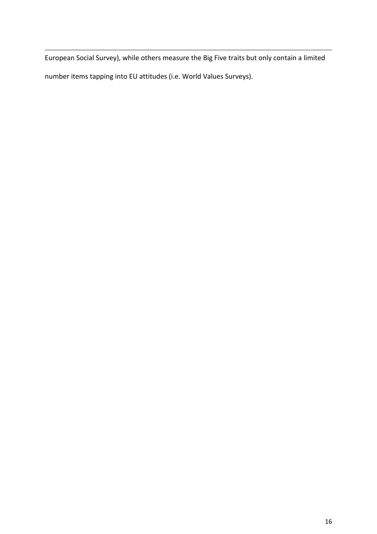European Social Survey), while others measure the Big Five traits but only contain a limited number items tapping into EU attitudes (i.e. World Values Surveys).

 $\overline{a}$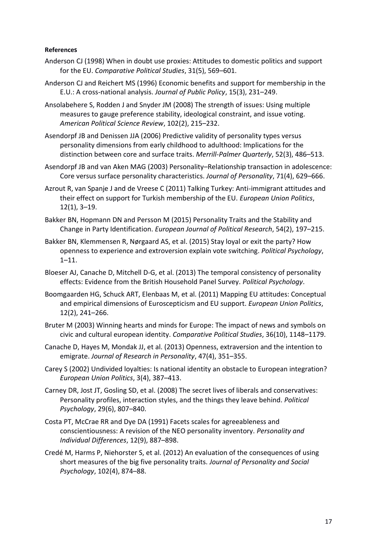# **References**

- Anderson CJ (1998) When in doubt use proxies: Attitudes to domestic politics and support for the EU. *Comparative Political Studies*, 31(5), 569–601.
- Anderson CJ and Reichert MS (1996) Economic benefits and support for membership in the E.U.: A cross-national analysis. *Journal of Public Policy*, 15(3), 231–249.
- Ansolabehere S, Rodden J and Snyder JM (2008) The strength of issues: Using multiple measures to gauge preference stability, ideological constraint, and issue voting. *American Political Science Review*, 102(2), 215–232.
- Asendorpf JB and Denissen JJA (2006) Predictive validity of personality types versus personality dimensions from early childhood to adulthood: Implications for the distinction between core and surface traits. *Merrill-Palmer Quarterly*, 52(3), 486–513.
- Asendorpf JB and van Aken MAG (2003) Personality–Relationship transaction in adolescence: Core versus surface personality characteristics. *Journal of Personality*, 71(4), 629–666.
- Azrout R, van Spanje J and de Vreese C (2011) Talking Turkey: Anti-immigrant attitudes and their effect on support for Turkish membership of the EU. *European Union Politics*, 12(1), 3–19.
- Bakker BN, Hopmann DN and Persson M (2015) Personality Traits and the Stability and Change in Party Identification. *European Journal of Political Research*, 54(2), 197–215.
- Bakker BN, Klemmensen R, Nørgaard AS, et al. (2015) Stay loyal or exit the party? How openness to experience and extroversion explain vote switching. *Political Psychology*, 1–11.
- Bloeser AJ, Canache D, Mitchell D-G, et al. (2013) The temporal consistency of personality effects: Evidence from the British Household Panel Survey. *Political Psychology*.
- Boomgaarden HG, Schuck ART, Elenbaas M, et al. (2011) Mapping EU attitudes: Conceptual and empirical dimensions of Euroscepticism and EU support. *European Union Politics*, 12(2), 241–266.
- Bruter M (2003) Winning hearts and minds for Europe: The impact of news and symbols on civic and cultural european identity. *Comparative Political Studies*, 36(10), 1148–1179.
- Canache D, Hayes M, Mondak JJ, et al. (2013) Openness, extraversion and the intention to emigrate. *Journal of Research in Personality*, 47(4), 351–355.
- Carey S (2002) Undivided loyalties: Is national identity an obstacle to European integration? *European Union Politics*, 3(4), 387–413.
- Carney DR, Jost JT, Gosling SD, et al. (2008) The secret lives of liberals and conservatives: Personality profiles, interaction styles, and the things they leave behind. *Political Psychology*, 29(6), 807–840.
- Costa PT, McCrae RR and Dye DA (1991) Facets scales for agreeableness and conscientiousness: A revision of the NEO personality inventory. *Personality and Individual Differences*, 12(9), 887–898.
- Credé M, Harms P, Niehorster S, et al. (2012) An evaluation of the consequences of using short measures of the big five personality traits. *Journal of Personality and Social Psychology*, 102(4), 874–88.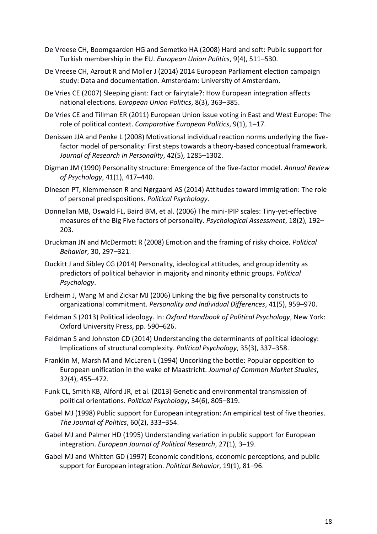- De Vreese CH, Boomgaarden HG and Semetko HA (2008) Hard and soft: Public support for Turkish membership in the EU. *European Union Politics*, 9(4), 511–530.
- De Vreese CH, Azrout R and Moller J (2014) 2014 European Parliament election campaign study: Data and documentation. Amsterdam: University of Amsterdam.
- De Vries CE (2007) Sleeping giant: Fact or fairytale?: How European integration affects national elections. *European Union Politics*, 8(3), 363–385.
- De Vries CE and Tillman ER (2011) European Union issue voting in East and West Europe: The role of political context. *Comparative European Politics*, 9(1), 1–17.
- Denissen JJA and Penke L (2008) Motivational individual reaction norms underlying the fivefactor model of personality: First steps towards a theory-based conceptual framework. *Journal of Research in Personality*, 42(5), 1285–1302.
- Digman JM (1990) Personality structure: Emergence of the five-factor model. *Annual Review of Psychology*, 41(1), 417–440.
- Dinesen PT, Klemmensen R and Nørgaard AS (2014) Attitudes toward immigration: The role of personal predispositions. *Political Psychology*.
- Donnellan MB, Oswald FL, Baird BM, et al. (2006) The mini-IPIP scales: Tiny-yet-effective measures of the Big Five factors of personality. *Psychological Assessment*, 18(2), 192– 203.
- Druckman JN and McDermott R (2008) Emotion and the framing of risky choice. *Political Behavior*, 30, 297–321.
- Duckitt J and Sibley CG (2014) Personality, ideological attitudes, and group identity as predictors of political behavior in majority and ninority ethnic groups. *Political Psychology*.
- Erdheim J, Wang M and Zickar MJ (2006) Linking the big five personality constructs to organizational commitment. *Personality and Individual Differences*, 41(5), 959–970.
- Feldman S (2013) Political ideology. In: *Oxford Handbook of Political Psychology*, New York: Oxford University Press, pp. 590–626.
- Feldman S and Johnston CD (2014) Understanding the determinants of political ideology: Implications of structural complexity. *Political Psychology*, 35(3), 337–358.
- Franklin M, Marsh M and McLaren L (1994) Uncorking the bottle: Popular opposition to European unification in the wake of Maastricht. *Journal of Common Market Studies*, 32(4), 455–472.
- Funk CL, Smith KB, Alford JR, et al. (2013) Genetic and environmental transmission of political orientations. *Political Psychology*, 34(6), 805–819.
- Gabel MJ (1998) Public support for European integration: An empirical test of five theories. *The Journal of Politics*, 60(2), 333–354.
- Gabel MJ and Palmer HD (1995) Understanding variation in public support for European integration. *European Journal of Political Research*, 27(1), 3–19.
- Gabel MJ and Whitten GD (1997) Economic conditions, economic perceptions, and public support for European integration. *Political Behavior*, 19(1), 81–96.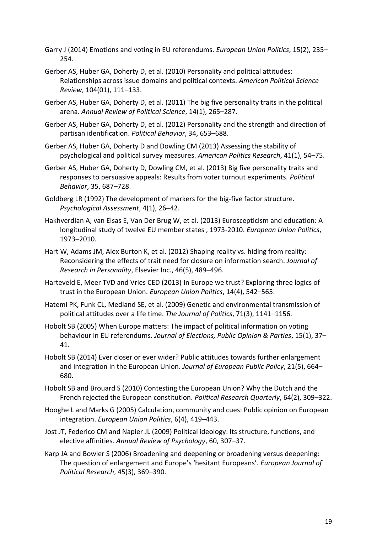- Garry J (2014) Emotions and voting in EU referendums. *European Union Politics*, 15(2), 235– 254.
- Gerber AS, Huber GA, Doherty D, et al. (2010) Personality and political attitudes: Relationships across issue domains and political contexts. *American Political Science Review*, 104(01), 111–133.
- Gerber AS, Huber GA, Doherty D, et al. (2011) The big five personality traits in the political arena. *Annual Review of Political Science*, 14(1), 265–287.
- Gerber AS, Huber GA, Doherty D, et al. (2012) Personality and the strength and direction of partisan identification. *Political Behavior*, 34, 653–688.
- Gerber AS, Huber GA, Doherty D and Dowling CM (2013) Assessing the stability of psychological and political survey measures. *American Politics Research*, 41(1), 54–75.
- Gerber AS, Huber GA, Doherty D, Dowling CM, et al. (2013) Big five personality traits and responses to persuasive appeals: Results from voter turnout experiments. *Political Behavior*, 35, 687–728.
- Goldberg LR (1992) The development of markers for the big-five factor structure. *Psychological Assessment*, 4(1), 26–42.
- Hakhverdian A, van Elsas E, Van Der Brug W, et al. (2013) Euroscepticism and education: A longitudinal study of twelve EU member states , 1973-2010. *European Union Politics*, 1973–2010.
- Hart W, Adams JM, Alex Burton K, et al. (2012) Shaping reality vs. hiding from reality: Reconsidering the effects of trait need for closure on information search. *Journal of Research in Personality*, Elsevier Inc., 46(5), 489–496.
- Harteveld E, Meer TVD and Vries CED (2013) In Europe we trust? Exploring three logics of trust in the European Union. *European Union Politics*, 14(4), 542–565.
- Hatemi PK, Funk CL, Medland SE, et al. (2009) Genetic and environmental transmission of political attitudes over a life time. *The Journal of Politics*, 71(3), 1141–1156.
- Hobolt SB (2005) When Europe matters: The impact of political information on voting behaviour in EU referendums. *Journal of Elections, Public Opinion & Parties*, 15(1), 37– 41.
- Hobolt SB (2014) Ever closer or ever wider? Public attitudes towards further enlargement and integration in the European Union. *Journal of European Public Policy*, 21(5), 664– 680.
- Hobolt SB and Brouard S (2010) Contesting the European Union? Why the Dutch and the French rejected the European constitution. *Political Research Quarterly*, 64(2), 309–322.
- Hooghe L and Marks G (2005) Calculation, community and cues: Public opinion on European integration. *European Union Politics*, 6(4), 419–443.
- Jost JT, Federico CM and Napier JL (2009) Political ideology: Its structure, functions, and elective affinities. *Annual Review of Psychology*, 60, 307–37.
- Karp JA and Bowler S (2006) Broadening and deepening or broadening versus deepening: The question of enlargement and Europe's 'hesitant Europeans'. *European Journal of Political Research*, 45(3), 369–390.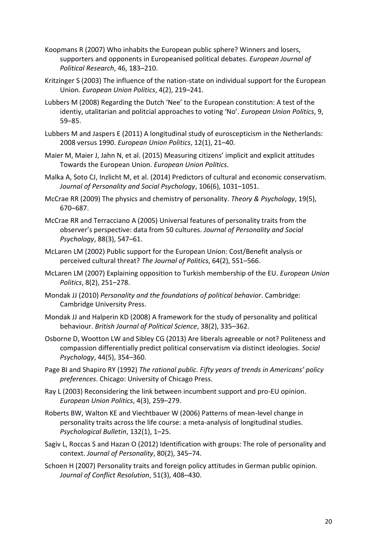- Koopmans R (2007) Who inhabits the European public sphere? Winners and losers, supporters and opponents in Europeanised political debates. *European Journal of Political Research*, 46, 183–210.
- Kritzinger S (2003) The influence of the nation-state on individual support for the European Union. *European Union Politics*, 4(2), 219–241.
- Lubbers M (2008) Regarding the Dutch 'Nee' to the European constitution: A test of the identiy, utalitarian and politcial approaches to voting 'No'. *European Union Politics*, 9, 59–85.
- Lubbers M and Jaspers E (2011) A longitudinal study of euroscepticism in the Netherlands: 2008 versus 1990. *European Union Politics*, 12(1), 21–40.
- Maier M, Maier J, Jahn N, et al. (2015) Measuring citizens' implicit and explicit attitudes Towards the European Union. *European Union Politics*.
- Malka A, Soto CJ, Inzlicht M, et al. (2014) Predictors of cultural and economic conservatism. *Journal of Personality and Social Psychology*, 106(6), 1031–1051.
- McCrae RR (2009) The physics and chemistry of personality. *Theory & Psychology*, 19(5), 670–687.
- McCrae RR and Terracciano A (2005) Universal features of personality traits from the observer's perspective: data from 50 cultures. *Journal of Personality and Social Psychology*, 88(3), 547–61.
- McLaren LM (2002) Public support for the European Union: Cost/Benefit analysis or perceived cultural threat? *The Journal of Politics*, 64(2), 551–566.
- McLaren LM (2007) Explaining opposition to Turkish membership of the EU. *European Union Politics*, 8(2), 251–278.
- Mondak JJ (2010) *Personality and the foundations of political behavior*. Cambridge: Cambridge University Press.
- Mondak JJ and Halperin KD (2008) A framework for the study of personality and political behaviour. *British Journal of Political Science*, 38(2), 335–362.
- Osborne D, Wootton LW and Sibley CG (2013) Are liberals agreeable or not? Politeness and compassion differentially predict political conservatism via distinct ideologies. *Social Psychology*, 44(5), 354–360.
- Page BI and Shapiro RY (1992) *The rational public. Fifty years of trends in Americans' policy preferences*. Chicago: University of Chicago Press.
- Ray L (2003) Reconsidering the link between incumbent support and pro-EU opinion. *European Union Politics*, 4(3), 259–279.
- Roberts BW, Walton KE and Viechtbauer W (2006) Patterns of mean-level change in personality traits across the life course: a meta-analysis of longitudinal studies. *Psychological Bulletin*, 132(1), 1–25.
- Sagiv L, Roccas S and Hazan O (2012) Identification with groups: The role of personality and context. *Journal of Personality*, 80(2), 345–74.
- Schoen H (2007) Personality traits and foreign policy attitudes in German public opinion. *Journal of Conflict Resolution*, 51(3), 408–430.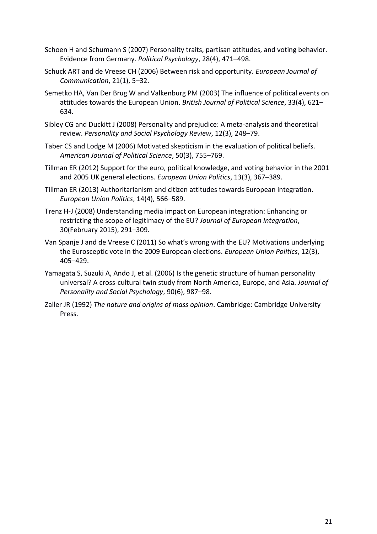- Schoen H and Schumann S (2007) Personality traits, partisan attitudes, and voting behavior. Evidence from Germany. *Political Psychology*, 28(4), 471–498.
- Schuck ART and de Vreese CH (2006) Between risk and opportunity. *European Journal of Communication*, 21(1), 5–32.
- Semetko HA, Van Der Brug W and Valkenburg PM (2003) The influence of political events on attitudes towards the European Union. *British Journal of Political Science*, 33(4), 621– 634.
- Sibley CG and Duckitt J (2008) Personality and prejudice: A meta-analysis and theoretical review. *Personality and Social Psychology Review*, 12(3), 248–79.
- Taber CS and Lodge M (2006) Motivated skepticism in the evaluation of political beliefs. *American Journal of Political Science*, 50(3), 755–769.
- Tillman ER (2012) Support for the euro, political knowledge, and voting behavior in the 2001 and 2005 UK general elections. *European Union Politics*, 13(3), 367–389.
- Tillman ER (2013) Authoritarianism and citizen attitudes towards European integration. *European Union Politics*, 14(4), 566–589.
- Trenz H-J (2008) Understanding media impact on European integration: Enhancing or restricting the scope of legitimacy of the EU? *Journal of European Integration*, 30(February 2015), 291–309.
- Van Spanje J and de Vreese C (2011) So what's wrong with the EU? Motivations underlying the Eurosceptic vote in the 2009 European elections. *European Union Politics*, 12(3), 405–429.
- Yamagata S, Suzuki A, Ando J, et al. (2006) Is the genetic structure of human personality universal? A cross-cultural twin study from North America, Europe, and Asia. *Journal of Personality and Social Psychology*, 90(6), 987–98.
- Zaller JR (1992) *The nature and origins of mass opinion*. Cambridge: Cambridge University Press.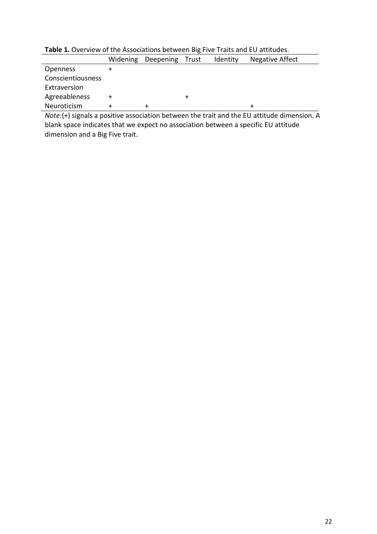|                   | Widening | Deepening | Trust  | Identity | Negative Affect |  |  |  |
|-------------------|----------|-----------|--------|----------|-----------------|--|--|--|
| <b>Openness</b>   |          |           |        |          |                 |  |  |  |
| Conscientiousness |          |           |        |          |                 |  |  |  |
| Extraversion      |          |           |        |          |                 |  |  |  |
| Agreeableness     |          |           | $\div$ |          |                 |  |  |  |
| Neuroticism       |          |           |        |          | ┿               |  |  |  |

**Table 1.** Overview of the Associations between Big Five Traits and EU attitudes.

*Note:*(+) signals a positive association between the trait and the EU attitude dimension. A blank space indicates that we expect no association between a specific EU attitude dimension and a Big Five trait.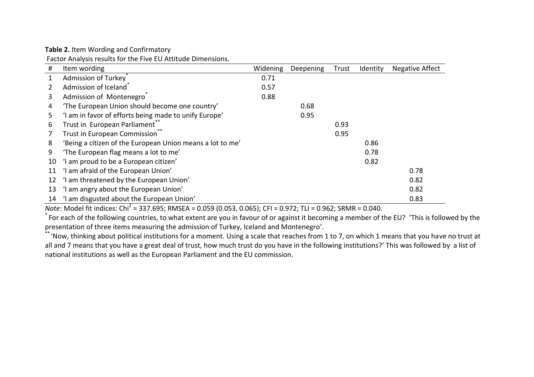**Table 2.** Item Wording and Confirmatory

Factor Analysis results for the Five EU Attitude Dimensions.

| #  | Item wording                                              | Widening | Deepening | Trust | Identity | <b>Negative Affect</b> |
|----|-----------------------------------------------------------|----------|-----------|-------|----------|------------------------|
|    | Admission of Turkey                                       | 0.71     |           |       |          |                        |
|    | Admission of Iceland <sup>®</sup>                         | 0.57     |           |       |          |                        |
| 3  | Admission of Montenegro                                   | 0.88     |           |       |          |                        |
| 4  | 'The European Union should become one country'            |          | 0.68      |       |          |                        |
| 5. | 'I am in favor of efforts being made to unify Europe'     |          | 0.95      |       |          |                        |
| 6  | Trust in European Parliament                              |          |           | 0.93  |          |                        |
|    | Trust in European Commission <sup>7</sup>                 |          |           | 0.95  |          |                        |
| 8  | 'Being a citizen of the European Union means a lot to me' |          |           |       | 0.86     |                        |
| 9  | 'The European flag means a lot to me'                     |          |           |       | 0.78     |                        |
| 10 | 'I am proud to be a European citizen'                     |          |           |       | 0.82     |                        |
| 11 | 'I am afraid of the European Union'                       |          |           |       |          | 0.78                   |
| 12 | 'I am threatened by the European Union'                   |          |           |       |          | 0.82                   |
| 13 | 'I am angry about the European Union'                     |          |           |       |          | 0.82                   |
| 14 | 'I am disgusted about the European Union'                 |          |           |       |          | 0.83                   |

*Note*: Model fit indices: Chi<sup>2</sup> = 337.695; RMSEA = 0.059 (0.053, 0.065); CFI = 0.972; TLI = 0.962; SRMR = 0.040.

\* For each of the following countries, to what extent are you in favour of or against it becoming a member of the EU? 'This is followed by the presentation of three items measuring the admission of Turkey, Iceland and Montenegro'.

 $^*$ 'Now, thinking about political institutions for a moment. Using a scale that reaches from 1 to 7, on which 1 means that you have no trust at all and 7 means that you have a great deal of trust, how much trust do you have in the following institutions?' This was followed by a list of national institutions as well as the European Parliament and the EU commission.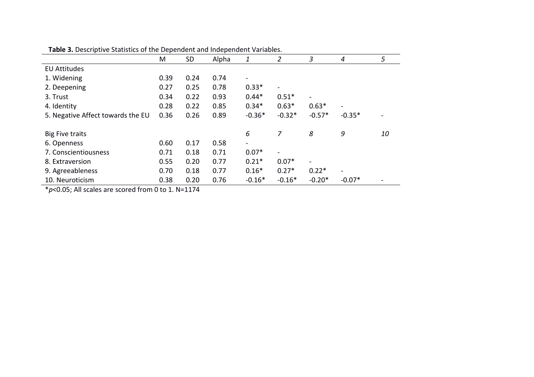| <b>TWEE OF DESCRIPTIVE STATISTICS OF THE DEPENDENT AND MIDDELIGENT VALIABIES.</b> |      |           |       |                          |                          |                          |                              |                          |
|-----------------------------------------------------------------------------------|------|-----------|-------|--------------------------|--------------------------|--------------------------|------------------------------|--------------------------|
|                                                                                   | M    | <b>SD</b> | Alpha | 1                        | 2                        | 3                        | 4                            | 5                        |
| <b>EU Attitudes</b>                                                               |      |           |       |                          |                          |                          |                              |                          |
| 1. Widening                                                                       | 0.39 | 0.24      | 0.74  | $\overline{\phantom{a}}$ |                          |                          |                              |                          |
| 2. Deepening                                                                      | 0.27 | 0.25      | 0.78  | $0.33*$                  |                          |                          |                              |                          |
| 3. Trust                                                                          | 0.34 | 0.22      | 0.93  | $0.44*$                  | $0.51*$                  | $\overline{\phantom{a}}$ |                              |                          |
| 4. Identity                                                                       | 0.28 | 0.22      | 0.85  | $0.34*$                  | $0.63*$                  | $0.63*$                  | $\overline{\phantom{0}}$     |                          |
| 5. Negative Affect towards the EU                                                 | 0.36 | 0.26      | 0.89  | $-0.36*$                 | $-0.32*$                 | $-0.57*$                 | $-0.35*$                     |                          |
|                                                                                   |      |           |       |                          |                          |                          |                              |                          |
| <b>Big Five traits</b>                                                            |      |           |       | 6                        |                          | 8                        | 9                            | 10                       |
| 6. Openness                                                                       | 0.60 | 0.17      | 0.58  | $\blacksquare$           |                          |                          |                              |                          |
| 7. Conscientiousness                                                              | 0.71 | 0.18      | 0.71  | $0.07*$                  | $\overline{\phantom{a}}$ |                          |                              |                          |
| 8. Extraversion                                                                   | 0.55 | 0.20      | 0.77  | $0.21*$                  | $0.07*$                  | Ξ.                       |                              |                          |
| 9. Agreeableness                                                                  | 0.70 | 0.18      | 0.77  | $0.16*$                  | $0.27*$                  | $0.22*$                  | $\qquad \qquad \blacksquare$ |                          |
| 10. Neuroticism                                                                   | 0.38 | 0.20      | 0.76  | $-0.16*$                 | $-0.16*$                 | $-0.20*$                 | $-0.07*$                     | $\overline{\phantom{a}}$ |

**Table 3.** Descriptive Statistics of the Dependent and Independent Variables.

\**p*<0.05; All scales are scored from 0 to 1. N=1174